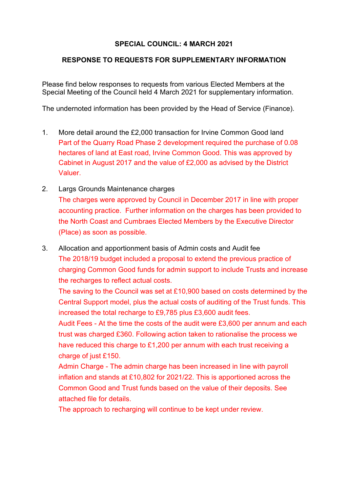## **SPECIAL COUNCIL: 4 MARCH 2021**

## **RESPONSE TO REQUESTS FOR SUPPLEMENTARY INFORMATION**

Please find below responses to requests from various Elected Members at the Special Meeting of the Council held 4 March 2021 for supplementary information.

The undernoted information has been provided by the Head of Service (Finance).

- 1. More detail around the £2,000 transaction for Irvine Common Good land Part of the Quarry Road Phase 2 development required the purchase of 0.08 hectares of land at East road, Irvine Common Good. This was approved by Cabinet in August 2017 and the value of £2,000 as advised by the District Valuer.
- 2. Largs Grounds Maintenance charges The charges were approved by Council in December 2017 in line with proper accounting practice. Further information on the charges has been provided to the North Coast and Cumbraes Elected Members by the Executive Director (Place) as soon as possible.
- 3. Allocation and apportionment basis of Admin costs and Audit fee The 2018/19 budget included a proposal to extend the previous practice of charging Common Good funds for admin support to include Trusts and increase the recharges to reflect actual costs.

The saving to the Council was set at £10,900 based on costs determined by the Central Support model, plus the actual costs of auditing of the Trust funds. This increased the total recharge to £9,785 plus £3,600 audit fees.

Audit Fees - At the time the costs of the audit were £3,600 per annum and each trust was charged £360. Following action taken to rationalise the process we have reduced this charge to £1,200 per annum with each trust receiving a charge of just £150.

Admin Charge - The admin charge has been increased in line with payroll inflation and stands at £10,802 for 2021/22. This is apportioned across the Common Good and Trust funds based on the value of their deposits. See attached file for details.

The approach to recharging will continue to be kept under review.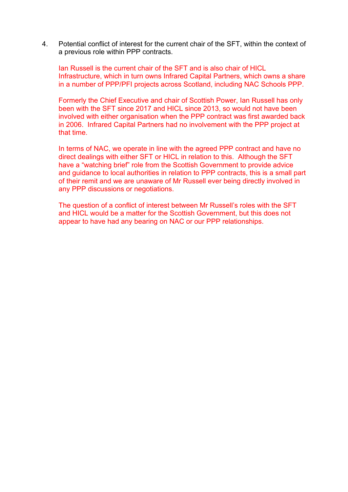4. Potential conflict of interest for the current chair of the SFT, within the context of a previous role within PPP contracts.

Ian Russell is the current chair of the SFT and is also chair of HICL Infrastructure, which in turn owns Infrared Capital Partners, which owns a share in a number of PPP/PFI projects across Scotland, including NAC Schools PPP.

Formerly the Chief Executive and chair of Scottish Power, Ian Russell has only been with the SFT since 2017 and HICL since 2013, so would not have been involved with either organisation when the PPP contract was first awarded back in 2006. Infrared Capital Partners had no involvement with the PPP project at that time.

In terms of NAC, we operate in line with the agreed PPP contract and have no direct dealings with either SFT or HICL in relation to this. Although the SFT have a "watching brief" role from the Scottish Government to provide advice and guidance to local authorities in relation to PPP contracts, this is a small part of their remit and we are unaware of Mr Russell ever being directly involved in any PPP discussions or negotiations.

The question of a conflict of interest between Mr Russell's roles with the SFT and HICL would be a matter for the Scottish Government, but this does not appear to have had any bearing on NAC or our PPP relationships.